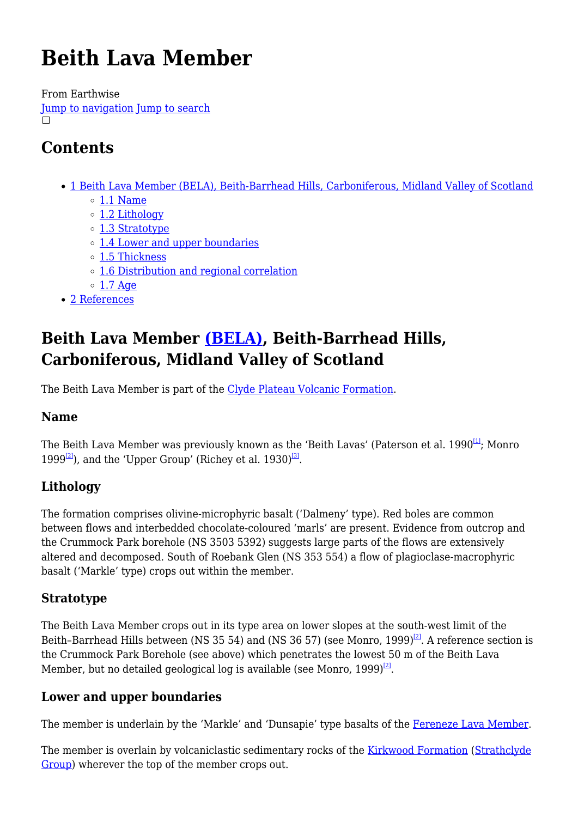# **Beith Lava Member**

From Earthwise [Jump to navigation](#page--1-0) [Jump to search](#page--1-0)  $\Box$ 

# **Contents**

- [1](#Beith_Lava_Member_.28BELA.29.2C_Beith-Barrhead_Hills.2C_Carboniferous.2C_Midland_Valley_of_Scotland) [Beith Lava Member \(BELA\), Beith-Barrhead Hills, Carboniferous, Midland Valley of Scotland](#Beith_Lava_Member_.28BELA.29.2C_Beith-Barrhead_Hills.2C_Carboniferous.2C_Midland_Valley_of_Scotland)
	- $\circ$  [1.1](#page--1-0) [Name](#page--1-0)
	- o [1.2](#page--1-0) [Lithology](#page--1-0)
	- [1.3](#page--1-0) [Stratotype](#page--1-0)
	- [1.4](#page--1-0) [Lower and upper boundaries](#page--1-0)
	- o [1.5](#page--1-0) [Thickness](#page--1-0)
	- [1.6](#page--1-0) [Distribution and regional correlation](#page--1-0)
	- $\circ$  [1.7](#page--1-0) [Age](#page--1-0)
- [2](#page--1-0) [References](#page--1-0)

## **Beith Lava Member [\(BELA\),](http://www.bgs.ac.uk/lexicon/lexicon.cfm?pub=BELA) Beith-Barrhead Hills, Carboniferous, Midland Valley of Scotland**

The Beith Lava Member is part of the [Clyde Plateau Volcanic Formation](http://earthwise.bgs.ac.uk/index.php/Clyde_Plateau_Volcanic_Formation).

### **Name**

The Beith Lava Member was previously known as the 'Beith Lavas' (Paterson et al. 1990<sup>[\[1\]](#page--1-0)</sup>: Monro 1999 $^{[2]}$  $^{[2]}$  $^{[2]}$ ), and the 'Upper Group' (Richey et al. 1930)<sup>[\[3\]](#page--1-0)</sup>.

### **Lithology**

The formation comprises olivine-microphyric basalt ('Dalmeny' type). Red boles are common between flows and interbedded chocolate-coloured 'marls' are present. Evidence from outcrop and the Crummock Park borehole (NS 3503 5392) suggests large parts of the flows are extensively altered and decomposed. South of Roebank Glen (NS 353 554) a flow of plagioclase-macrophyric basalt ('Markle' type) crops out within the member.

### **Stratotype**

The Beith Lava Member crops out in its type area on lower slopes at the south-west limit of the Beith-Barrhead Hills between (NS 35 54) and (NS 36 57) (see Monro, 1999)<sup>[\[2\]](#page--1-0)</sup>. A reference section is the Crummock Park Borehole (see above) which penetrates the lowest 50 m of the Beith Lava Member, but no detailed geological log is available (see Monro, 1999) $^{[2]}$  $^{[2]}$  $^{[2]}$ .

### **Lower and upper boundaries**

The member is underlain by the 'Markle' and 'Dunsapie' type basalts of the [Fereneze Lava Member.](http://earthwise.bgs.ac.uk/index.php/Fereneze_Lava_Member)

The member is overlain by volcaniclastic sedimentary rocks of the [Kirkwood Formation](http://earthwise.bgs.ac.uk/index.php/Kirkwood_Formation) [\(Strathclyde](http://earthwise.bgs.ac.uk/index.php/Strathclyde_Group) [Group\)](http://earthwise.bgs.ac.uk/index.php/Strathclyde_Group) wherever the top of the member crops out.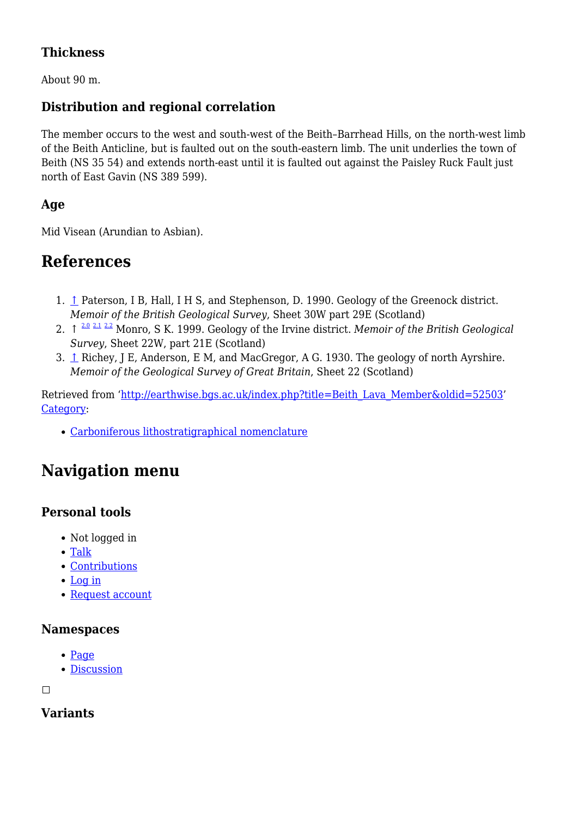### **Thickness**

About 90 m.

### **Distribution and regional correlation**

The member occurs to the west and south-west of the Beith–Barrhead Hills, on the north-west limb of the Beith Anticline, but is faulted out on the south-eastern limb. The unit underlies the town of Beith (NS 35 54) and extends north-east until it is faulted out against the Paisley Ruck Fault just north of East Gavin (NS 389 599).

### **Age**

Mid Visean (Arundian to Asbian).

### **References**

- 1. [↑](#page--1-0) Paterson, I B, Hall, I H S, and Stephenson, D. 1990. Geology of the Greenock district. *Memoir of the British Geological Survey*, Sheet 30W part 29E (Scotland)
- ↑ [2.0](#page--1-0) [2.1](#page--1-0) [2.2](#page--1-0) 2. Monro, S K. 1999. Geology of the Irvine district. *Memoir of the British Geological Survey*, Sheet 22W, part 21E (Scotland)
- 3. [↑](#page--1-0) Richey, J E, Anderson, E M, and MacGregor, A G. 1930. The geology of north Ayrshire. *Memoir of the Geological Survey of Great Britain*, Sheet 22 (Scotland)

Retrieved from ['http://earthwise.bgs.ac.uk/index.php?title=Beith\\_Lava\\_Member&oldid=52503](http://earthwise.bgs.ac.uk/index.php?title=Beith_Lava_Member&oldid=52503)' [Category](http://earthwise.bgs.ac.uk/index.php/Special:Categories):

[Carboniferous lithostratigraphical nomenclature](http://earthwise.bgs.ac.uk/index.php/Category:Carboniferous_lithostratigraphical_nomenclature)

# **Navigation menu**

### **Personal tools**

- Not logged in
- [Talk](http://earthwise.bgs.ac.uk/index.php/Special:MyTalk)
- [Contributions](http://earthwise.bgs.ac.uk/index.php/Special:MyContributions)
- [Log in](http://earthwise.bgs.ac.uk/index.php?title=Special:UserLogin&returnto=Beith+Lava+Member&returntoquery=action%3Dmpdf)
- [Request account](http://earthwise.bgs.ac.uk/index.php/Special:RequestAccount)

#### **Namespaces**

- [Page](http://earthwise.bgs.ac.uk/index.php/Beith_Lava_Member)
- [Discussion](http://earthwise.bgs.ac.uk/index.php?title=Talk:Beith_Lava_Member&action=edit&redlink=1)

 $\Box$ 

**Variants**